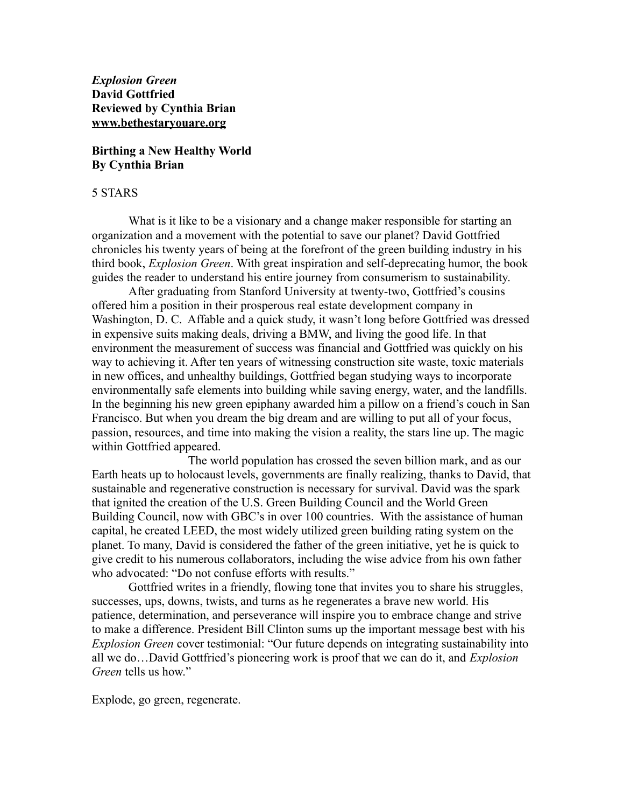*Explosion Green* **David Gottfried Reviewed by Cynthia Brian www.bethestaryouare.org**

## **Birthing a New Healthy World By Cynthia Brian**

## 5 STARS

What is it like to be a visionary and a change maker responsible for starting an organization and a movement with the potential to save our planet? David Gottfried chronicles his twenty years of being at the forefront of the green building industry in his third book, *Explosion Green*. With great inspiration and self-deprecating humor, the book guides the reader to understand his entire journey from consumerism to sustainability.

After graduating from Stanford University at twenty-two, Gottfried's cousins offered him a position in their prosperous real estate development company in Washington, D. C. Affable and a quick study, it wasn't long before Gottfried was dressed in expensive suits making deals, driving a BMW, and living the good life. In that environment the measurement of success was financial and Gottfried was quickly on his way to achieving it. After ten years of witnessing construction site waste, toxic materials in new offices, and unhealthy buildings, Gottfried began studying ways to incorporate environmentally safe elements into building while saving energy, water, and the landfills. In the beginning his new green epiphany awarded him a pillow on a friend's couch in San Francisco. But when you dream the big dream and are willing to put all of your focus, passion, resources, and time into making the vision a reality, the stars line up. The magic within Gottfried appeared.

The world population has crossed the seven billion mark, and as our Earth heats up to holocaust levels, governments are finally realizing, thanks to David, that sustainable and regenerative construction is necessary for survival. David was the spark that ignited the creation of the U.S. Green Building Council and the World Green Building Council, now with GBC's in over 100 countries. With the assistance of human capital, he created LEED, the most widely utilized green building rating system on the planet. To many, David is considered the father of the green initiative, yet he is quick to give credit to his numerous collaborators, including the wise advice from his own father who advocated: "Do not confuse efforts with results."

Gottfried writes in a friendly, flowing tone that invites you to share his struggles, successes, ups, downs, twists, and turns as he regenerates a brave new world. His patience, determination, and perseverance will inspire you to embrace change and strive to make a difference. President Bill Clinton sums up the important message best with his *Explosion Green* cover testimonial: "Our future depends on integrating sustainability into all we do…David Gottfried's pioneering work is proof that we can do it, and *Explosion Green* tells us how."

Explode, go green, regenerate.